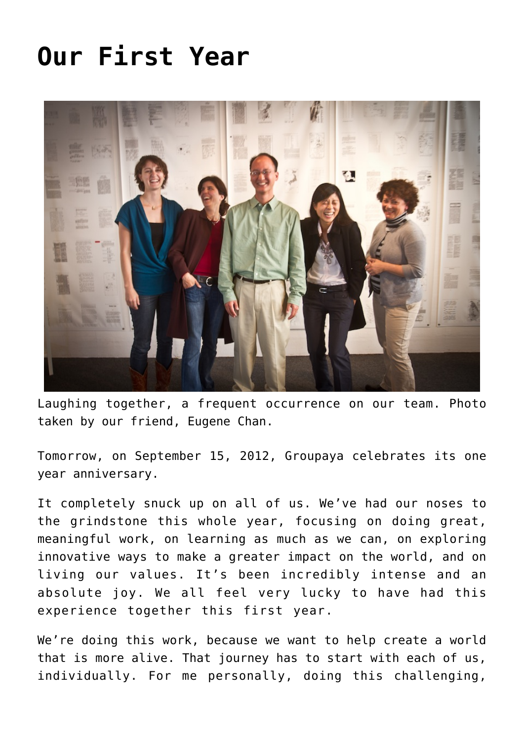## **[Our First Year](https://groupaya.net/our-first-year/)**



Laughing together, a frequent occurrence on our team. Photo taken by our friend, Eugene Chan.

Tomorrow, on September 15, 2012, Groupaya celebrates its one year anniversary.

It completely snuck up on all of us. We've had our noses to the grindstone this whole year, focusing on doing great, meaningful work, on learning as much as we can, on exploring innovative ways to make a greater impact on the world, and on living our values. It's been incredibly intense and an absolute joy. We all feel very lucky to have had this experience together this first year.

We're doing this work, because we want to help create a world that is more alive. That journey has to start with each of us, individually. For me personally, doing this challenging,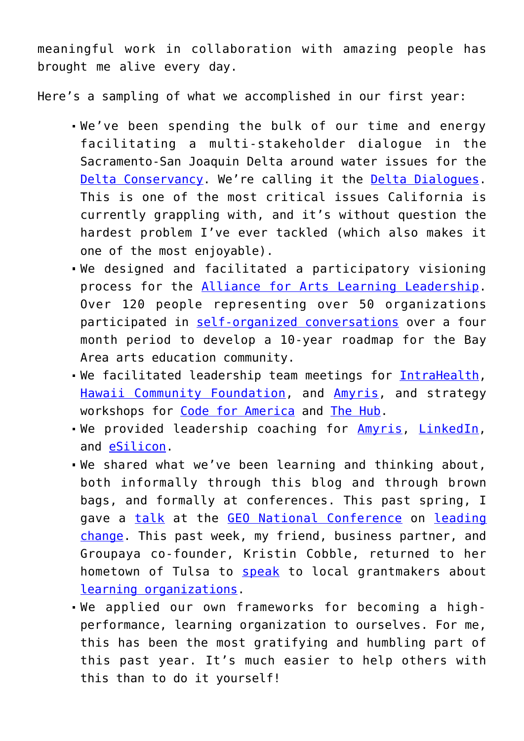meaningful work in collaboration with amazing people has brought me alive every day.

Here's a sampling of what we accomplished in our first year:

- We've been spending the bulk of our time and energy facilitating a multi-stakeholder dialogue in the Sacramento-San Joaquin Delta around water issues for the [Delta Conservancy](http://www.deltaconservancy.ca.gov/). We're calling it the [Delta Dialogues.](http://delta.groupaya.net/) This is one of the most critical issues California is currently grappling with, and it's without question the hardest problem I've ever tackled (which also makes it one of the most enjoyable).
- We designed and facilitated a participatory visioning process for the [Alliance for Arts Learning Leadership.](http://www.artiseducation.org/) Over 120 people representing over 50 organizations participated in [self-organized conversations](http://allianceforall.wordpress.com/) over a four month period to develop a 10-year roadmap for the Bay Area arts education community.
- We facilitated leadership team meetings for [IntraHealth,](http://www.intrahealth.org/) [Hawaii Community Foundation,](http://www.hawaiicommunityfoundation.org/) and [Amyris](http://www.amyris.com/), and strategy workshops for [Code for America](http://codeforamerica.org/) and [The Hub.](http://bayarea.the-hub.net/)
- We provided leadership coaching for [Amyris](http://www.amyris.com/), [LinkedIn](http://linkedin.com/), and [eSilicon.](http://www.esilicon.com/)
- We shared what we've been learning and thinking about, both informally through this blog and through brown bags, and formally at conferences. This past spring, I gave a [talk](http://www.slideshare.net/eekim/the-closeted-optimists-guide-to-change) at the [GEO National Conference](http://www.geonationalconference.org/) on [leading](http://groupaya.wikispaces.com/Leading+change) [change.](http://groupaya.wikispaces.com/Leading+change) This past week, my friend, business partner, and Groupaya co-founder, Kristin Cobble, returned to her hometown of Tulsa to [speak](http://storify.com/eekim/kristin-cobble-on-learning-organizations) to local grantmakers about [learning organizations](http://groupaya.wikispaces.com/Learning+organization).
- We applied our own frameworks for becoming a highperformance, learning organization to ourselves. For me, this has been the most gratifying and humbling part of this past year. It's much easier to help others with this than to do it yourself!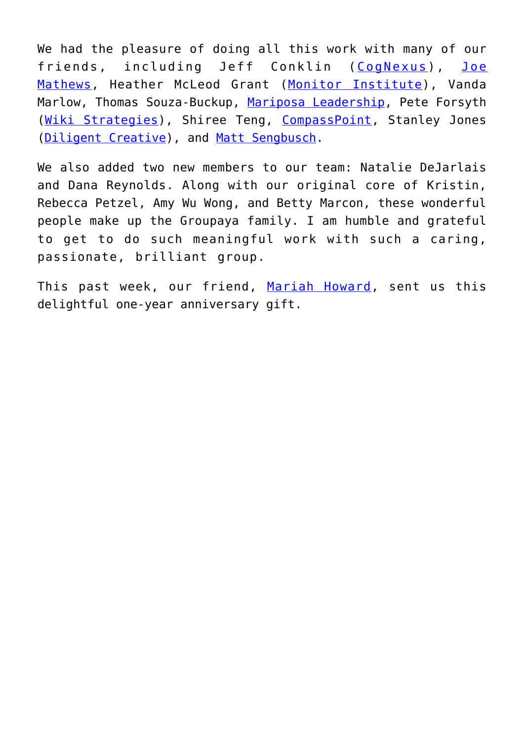We had the pleasure of doing all this work with many of our friends, including Jeff Conklin ([CogNexus](http://cognexusgroup.com/)), [Joe](https://twitter.com/joemmathews) [Mathews](https://twitter.com/joemmathews), Heather McLeod Grant ([Monitor Institute](http://monitorinstitute.com/)), Vanda Marlow, Thomas Souza-Buckup, [Mariposa Leadership](http://www.mariposaleadership.com/), Pete Forsyth ([Wiki Strategies\)](http://wikistrategies.net/), Shiree Teng, [CompassPoint](http://www.compasspoint.org/), Stanley Jones ([Diligent Creative\)](http://diligentcreative.com/), and [Matt Sengbusch](http://mattsengbusch.com/).

We also added two new members to our team: Natalie DeJarlais and Dana Reynolds. Along with our original core of Kristin, Rebecca Petzel, Amy Wu Wong, and Betty Marcon, these wonderful people make up the Groupaya family. I am humble and grateful to get to do such meaningful work with such a caring, passionate, brilliant group.

This past week, our friend, [Mariah Howard](http://arterior-motives.blogspot.com/), sent us this delightful one-year anniversary gift.